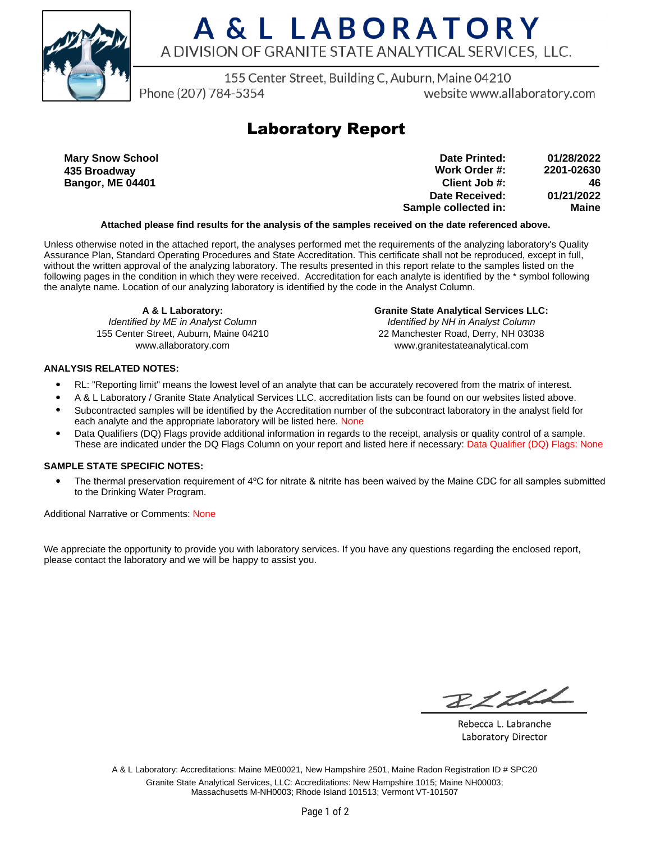

# A & L LABORATORY A DIVISION OF GRANITE STATE ANALYTICAL SERVICES, LLC.

155 Center Street, Building C, Auburn, Maine 04210

Phone (207) 784-5354

website www.allaboratory.com

### **Laboratory Report**

**Mary Snow School 435 Broadway Bangor, ME 04401**

**Work Order #: Client Job #: Date Received: Sample collected in: 2201-02630 46 01/21/2022 Maine Date Printed: 01/28/2022**

#### **Attached please find results for the analysis of the samples received on the date referenced above.**

Unless otherwise noted in the attached report, the analyses performed met the requirements of the analyzing laboratory's Quality Assurance Plan, Standard Operating Procedures and State Accreditation. This certificate shall not be reproduced, except in full, without the written approval of the analyzing laboratory. The results presented in this report relate to the samples listed on the following pages in the condition in which they were received. Accreditation for each analyte is identified by the \* symbol following the analyte name. Location of our analyzing laboratory is identified by the code in the Analyst Column.

**A & L Laboratory:** Identified by ME in Analyst Column 155 Center Street, Auburn, Maine 04210 www.allaboratory.com

**Granite State Analytical Services LLC:** Identified by NH in Analyst Column 22 Manchester Road, Derry, NH 03038 www.granitestateanalytical.com

### **ANALYSIS RELATED NOTES:**

- RL: "Reporting limit" means the lowest level of an analyte that can be accurately recovered from the matrix of interest.
- A & L Laboratory / Granite State Analytical Services LLC. accreditation lists can be found on our websites listed above.
- Subcontracted samples will be identified by the Accreditation number of the subcontract laboratory in the analyst field for each analyte and the appropriate laboratory will be listed here. None
- Data Qualifiers (DQ) Flags provide additional information in regards to the receipt, analysis or quality control of a sample. These are indicated under the DQ Flags Column on your report and listed here if necessary: Data Qualifier (DQ) Flags: None

#### **SAMPLE STATE SPECIFIC NOTES:**

• The thermal preservation requirement of 4°C for nitrate & nitrite has been waived by the Maine CDC for all samples submitted to the Drinking Water Program.

Additional Narrative or Comments: None

We appreciate the opportunity to provide you with laboratory services. If you have any questions regarding the enclosed report, please contact the laboratory and we will be happy to assist you.

RICH

Rebecca L. Labranche Laboratory Director

A & L Laboratory: Accreditations: Maine ME00021, New Hampshire 2501, Maine Radon Registration ID # SPC20 Granite State Analytical Services, LLC: Accreditations: New Hampshire 1015; Maine NH00003; Massachusetts M-NH0003; Rhode Island 101513; Vermont VT-101507